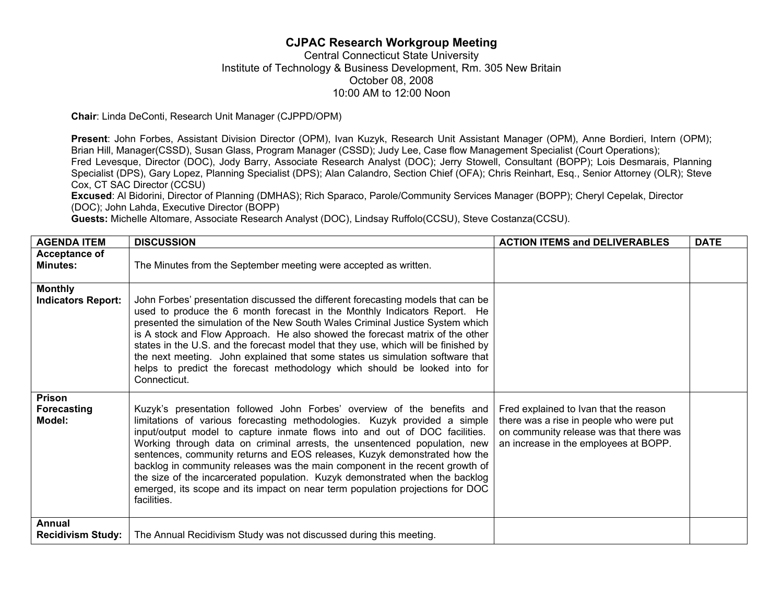## **CJPAC Research Workgroup Meeting**

## Central Connecticut State University Institute of Technology & Business Development, Rm. 305 New Britain October 08, 2008 10:00 AM to 12:00 Noon

**Chair**: Linda DeConti, Research Unit Manager (CJPPD/OPM)

**Present**: John Forbes, Assistant Division Director (OPM), Ivan Kuzyk, Research Unit Assistant Manager (OPM), Anne Bordieri, Intern (OPM); Brian Hill, Manager(CSSD), Susan Glass, Program Manager (CSSD); Judy Lee, Case flow Management Specialist (Court Operations); Fred Levesque, Director (DOC), Jody Barry, Associate Research Analyst (DOC); Jerry Stowell, Consultant (BOPP); Lois Desmarais, Planning Specialist (DPS), Gary Lopez, Planning Specialist (DPS); Alan Calandro, Section Chief (OFA); Chris Reinhart, Esq., Senior Attorney (OLR); Steve Cox, CT SAC Director (CCSU)

**Excused**: Al Bidorini, Director of Planning (DMHAS); Rich Sparaco, Parole/Community Services Manager (BOPP); Cheryl Cepelak, Director (DOC); John Lahda, Executive Director (BOPP)

**Guests:** Michelle Altomare, Associate Research Analyst (DOC), Lindsay Ruffolo(CCSU), Steve Costanza(CCSU).

| <b>AGENDA ITEM</b>                          | <b>DISCUSSION</b>                                                                                                                                                                                                                                                                                                                                                                                                                                                                                                                                                                                                                                            | <b>ACTION ITEMS and DELIVERABLES</b>                                                                                                                                  | <b>DATE</b> |
|---------------------------------------------|--------------------------------------------------------------------------------------------------------------------------------------------------------------------------------------------------------------------------------------------------------------------------------------------------------------------------------------------------------------------------------------------------------------------------------------------------------------------------------------------------------------------------------------------------------------------------------------------------------------------------------------------------------------|-----------------------------------------------------------------------------------------------------------------------------------------------------------------------|-------------|
| <b>Acceptance of</b><br><b>Minutes:</b>     | The Minutes from the September meeting were accepted as written.                                                                                                                                                                                                                                                                                                                                                                                                                                                                                                                                                                                             |                                                                                                                                                                       |             |
| <b>Monthly</b><br><b>Indicators Report:</b> | John Forbes' presentation discussed the different forecasting models that can be<br>used to produce the 6 month forecast in the Monthly Indicators Report. He<br>presented the simulation of the New South Wales Criminal Justice System which<br>is A stock and Flow Approach. He also showed the forecast matrix of the other<br>states in the U.S. and the forecast model that they use, which will be finished by<br>the next meeting. John explained that some states us simulation software that<br>helps to predict the forecast methodology which should be looked into for<br>Connecticut.                                                          |                                                                                                                                                                       |             |
| Prison<br>Forecasting<br>Model:             | Kuzyk's presentation followed John Forbes' overview of the benefits and<br>limitations of various forecasting methodologies. Kuzyk provided a simple<br>input/output model to capture inmate flows into and out of DOC facilities.<br>Working through data on criminal arrests, the unsentenced population, new<br>sentences, community returns and EOS releases, Kuzyk demonstrated how the<br>backlog in community releases was the main component in the recent growth of<br>the size of the incarcerated population. Kuzyk demonstrated when the backlog<br>emerged, its scope and its impact on near term population projections for DOC<br>facilities. | Fred explained to Ivan that the reason<br>there was a rise in people who were put<br>on community release was that there was<br>an increase in the employees at BOPP. |             |
| Annual<br><b>Recidivism Study:</b>          | The Annual Recidivism Study was not discussed during this meeting.                                                                                                                                                                                                                                                                                                                                                                                                                                                                                                                                                                                           |                                                                                                                                                                       |             |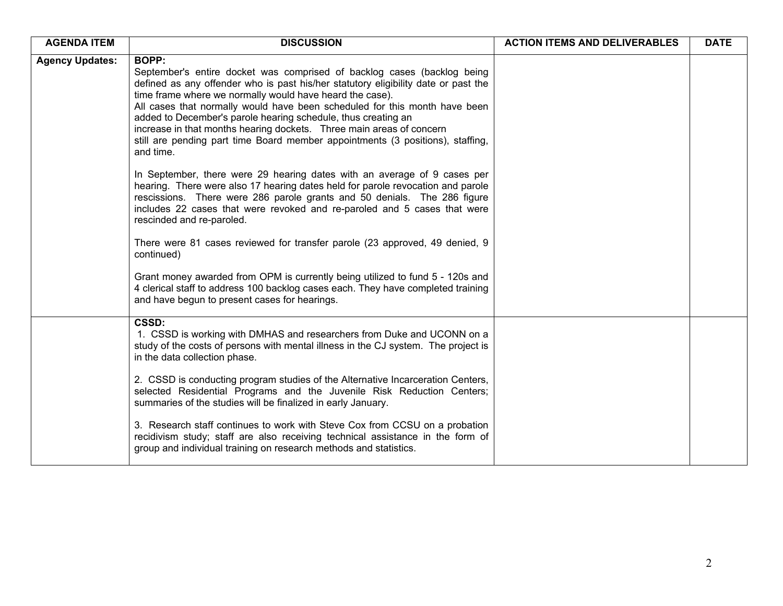| <b>AGENDA ITEM</b>     | <b>DISCUSSION</b>                                                                                                                                                                                                                                                                                                                                                                                                                                                                                                                                               | <b>ACTION ITEMS AND DELIVERABLES</b> | <b>DATE</b> |
|------------------------|-----------------------------------------------------------------------------------------------------------------------------------------------------------------------------------------------------------------------------------------------------------------------------------------------------------------------------------------------------------------------------------------------------------------------------------------------------------------------------------------------------------------------------------------------------------------|--------------------------------------|-------------|
| <b>Agency Updates:</b> | <b>BOPP:</b><br>September's entire docket was comprised of backlog cases (backlog being<br>defined as any offender who is past his/her statutory eligibility date or past the<br>time frame where we normally would have heard the case).<br>All cases that normally would have been scheduled for this month have been<br>added to December's parole hearing schedule, thus creating an<br>increase in that months hearing dockets. Three main areas of concern<br>still are pending part time Board member appointments (3 positions), staffing,<br>and time. |                                      |             |
|                        | In September, there were 29 hearing dates with an average of 9 cases per<br>hearing. There were also 17 hearing dates held for parole revocation and parole<br>rescissions. There were 286 parole grants and 50 denials. The 286 figure<br>includes 22 cases that were revoked and re-paroled and 5 cases that were<br>rescinded and re-paroled.                                                                                                                                                                                                                |                                      |             |
|                        | There were 81 cases reviewed for transfer parole (23 approved, 49 denied, 9<br>continued)                                                                                                                                                                                                                                                                                                                                                                                                                                                                       |                                      |             |
|                        | Grant money awarded from OPM is currently being utilized to fund 5 - 120s and<br>4 clerical staff to address 100 backlog cases each. They have completed training<br>and have begun to present cases for hearings.                                                                                                                                                                                                                                                                                                                                              |                                      |             |
|                        | <b>CSSD:</b><br>1. CSSD is working with DMHAS and researchers from Duke and UCONN on a<br>study of the costs of persons with mental illness in the CJ system. The project is<br>in the data collection phase.                                                                                                                                                                                                                                                                                                                                                   |                                      |             |
|                        | 2. CSSD is conducting program studies of the Alternative Incarceration Centers,<br>selected Residential Programs and the Juvenile Risk Reduction Centers;<br>summaries of the studies will be finalized in early January.                                                                                                                                                                                                                                                                                                                                       |                                      |             |
|                        | 3. Research staff continues to work with Steve Cox from CCSU on a probation<br>recidivism study; staff are also receiving technical assistance in the form of<br>group and individual training on research methods and statistics.                                                                                                                                                                                                                                                                                                                              |                                      |             |